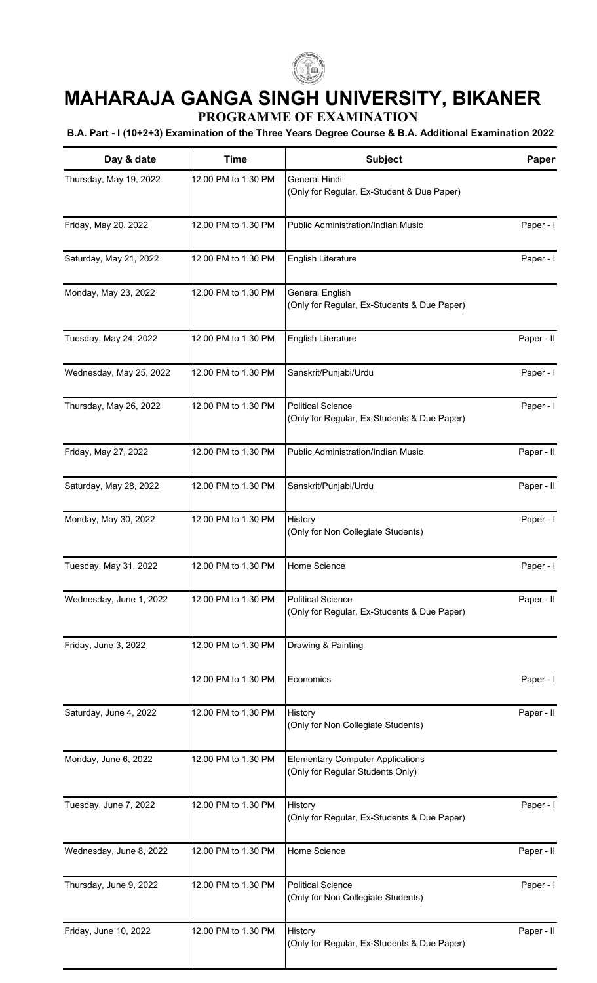

## **MAHARAJA GANGA SINGH UNIVERSITY, BIKANER**

**PROGRAMME OF EXAMINATION**

## **B.A. Part - I (10+2+3) Examination of the Three Years Degree Course & B.A. Additional Examination 2022**

| Day & date              | <b>Time</b>         | Subject                                                                     | Paper      |
|-------------------------|---------------------|-----------------------------------------------------------------------------|------------|
| Thursday, May 19, 2022  | 12.00 PM to 1.30 PM | General Hindi<br>(Only for Regular, Ex-Student & Due Paper)                 |            |
| Friday, May 20, 2022    | 12.00 PM to 1.30 PM | Public Administration/Indian Music                                          | Paper - I  |
| Saturday, May 21, 2022  | 12.00 PM to 1.30 PM | English Literature                                                          | Paper - I  |
| Monday, May 23, 2022    | 12.00 PM to 1.30 PM | <b>General English</b><br>(Only for Regular, Ex-Students & Due Paper)       |            |
| Tuesday, May 24, 2022   | 12.00 PM to 1.30 PM | English Literature                                                          | Paper - II |
| Wednesday, May 25, 2022 | 12.00 PM to 1.30 PM | Sanskrit/Punjabi/Urdu                                                       | Paper - I  |
| Thursday, May 26, 2022  | 12.00 PM to 1.30 PM | <b>Political Science</b><br>(Only for Regular, Ex-Students & Due Paper)     | Paper - I  |
| Friday, May 27, 2022    | 12.00 PM to 1.30 PM | Public Administration/Indian Music                                          | Paper - II |
| Saturday, May 28, 2022  | 12.00 PM to 1.30 PM | Sanskrit/Punjabi/Urdu                                                       | Paper - II |
| Monday, May 30, 2022    | 12.00 PM to 1.30 PM | History<br>(Only for Non Collegiate Students)                               | Paper - I  |
| Tuesday, May 31, 2022   | 12.00 PM to 1.30 PM | Home Science                                                                | Paper - I  |
| Wednesday, June 1, 2022 | 12.00 PM to 1.30 PM | <b>Political Science</b><br>(Only for Regular, Ex-Students & Due Paper)     | Paper - II |
| Friday, June 3, 2022    | 12.00 PM to 1.30 PM | Drawing & Painting                                                          |            |
|                         | 12.00 PM to 1.30 PM | Economics                                                                   | Paper - I  |
| Saturday, June 4, 2022  | 12.00 PM to 1.30 PM | History<br>(Only for Non Collegiate Students)                               | Paper - II |
| Monday, June 6, 2022    | 12.00 PM to 1.30 PM | <b>Elementary Computer Applications</b><br>(Only for Regular Students Only) |            |
| Tuesday, June 7, 2022   | 12.00 PM to 1.30 PM | History<br>(Only for Regular, Ex-Students & Due Paper)                      | Paper - I  |
| Wednesday, June 8, 2022 | 12.00 PM to 1.30 PM | Home Science                                                                | Paper - II |
| Thursday, June 9, 2022  | 12.00 PM to 1.30 PM | <b>Political Science</b><br>(Only for Non Collegiate Students)              | Paper - I  |
| Friday, June 10, 2022   | 12.00 PM to 1.30 PM | History<br>(Only for Regular, Ex-Students & Due Paper)                      | Paper - II |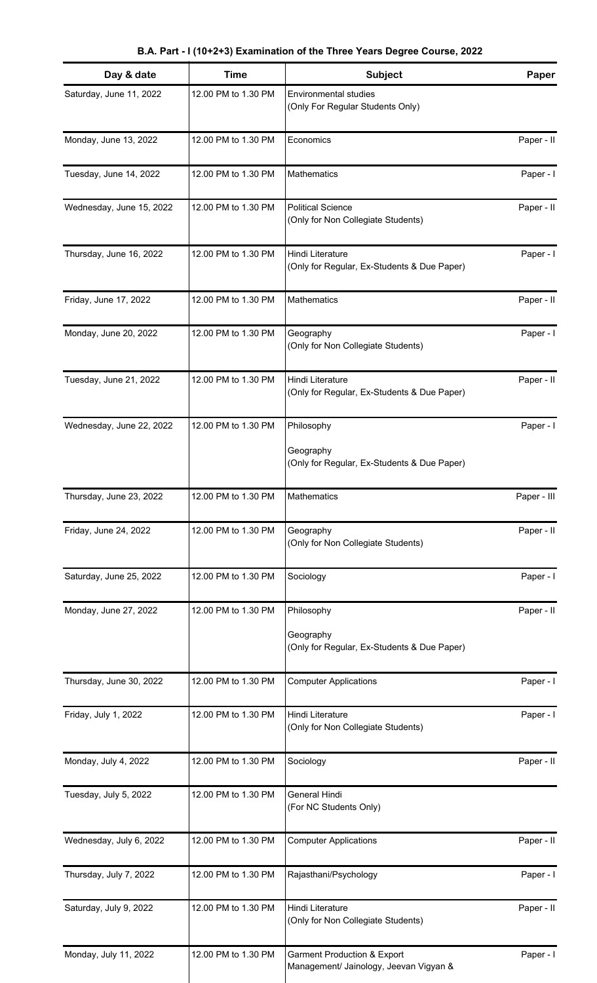**B.A. Part - I (10+2+3) Examination of the Three Years Degree Course, 2022**

| Day & date               | <b>Time</b>         | <b>Subject</b>                                                                   | Paper       |
|--------------------------|---------------------|----------------------------------------------------------------------------------|-------------|
| Saturday, June 11, 2022  | 12.00 PM to 1.30 PM | <b>Environmental studies</b><br>(Only For Regular Students Only)                 |             |
| Monday, June 13, 2022    | 12.00 PM to 1.30 PM | Economics                                                                        | Paper - II  |
| Tuesday, June 14, 2022   | 12.00 PM to 1.30 PM | Mathematics                                                                      | Paper - I   |
| Wednesday, June 15, 2022 | 12.00 PM to 1.30 PM | <b>Political Science</b><br>(Only for Non Collegiate Students)                   | Paper - II  |
| Thursday, June 16, 2022  | 12.00 PM to 1.30 PM | Hindi Literature<br>(Only for Regular, Ex-Students & Due Paper)                  | Paper - I   |
| Friday, June 17, 2022    | 12.00 PM to 1.30 PM | Mathematics                                                                      | Paper - II  |
| Monday, June 20, 2022    | 12.00 PM to 1.30 PM | Geography<br>(Only for Non Collegiate Students)                                  | Paper - I   |
| Tuesday, June 21, 2022   | 12.00 PM to 1.30 PM | Hindi Literature<br>(Only for Regular, Ex-Students & Due Paper)                  | Paper - II  |
| Wednesday, June 22, 2022 | 12.00 PM to 1.30 PM | Philosophy<br>Geography<br>(Only for Regular, Ex-Students & Due Paper)           | Paper - I   |
| Thursday, June 23, 2022  | 12.00 PM to 1.30 PM | Mathematics                                                                      | Paper - III |
| Friday, June 24, 2022    | 12.00 PM to 1.30 PM | Geography<br>(Only for Non Collegiate Students)                                  | Paper - II  |
| Saturday, June 25, 2022  | 12.00 PM to 1.30 PM | Sociology                                                                        | Paper - I   |
| Monday, June 27, 2022    | 12.00 PM to 1.30 PM | Philosophy<br>Geography<br>(Only for Regular, Ex-Students & Due Paper)           | Paper - II  |
| Thursday, June 30, 2022  | 12.00 PM to 1.30 PM | <b>Computer Applications</b>                                                     | Paper - I   |
| Friday, July 1, 2022     | 12.00 PM to 1.30 PM | Hindi Literature<br>(Only for Non Collegiate Students)                           | Paper - I   |
| Monday, July 4, 2022     | 12.00 PM to 1.30 PM | Sociology                                                                        | Paper - II  |
| Tuesday, July 5, 2022    | 12.00 PM to 1.30 PM | General Hindi<br>(For NC Students Only)                                          |             |
| Wednesday, July 6, 2022  | 12.00 PM to 1.30 PM | <b>Computer Applications</b>                                                     | Paper - II  |
| Thursday, July 7, 2022   | 12.00 PM to 1.30 PM | Rajasthani/Psychology                                                            | Paper - I   |
| Saturday, July 9, 2022   | 12.00 PM to 1.30 PM | Hindi Literature<br>(Only for Non Collegiate Students)                           | Paper - II  |
| Monday, July 11, 2022    | 12.00 PM to 1.30 PM | <b>Garment Production &amp; Export</b><br>Management/ Jainology, Jeevan Vigyan & | Paper - I   |